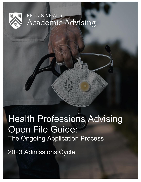

## RICE UNIVERSITY Academic Advising

# Health Professions Advising Open File Guide: The Ongoing Application Process

**MARITISTICS** 

2023 Admissions Cycle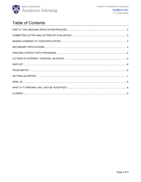

## **Table of Contents**

<span id="page-1-0"></span>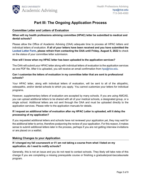

### **Part III: The Ongoing Application Process**

#### <span id="page-2-0"></span>**Committee Letter and Letters of Evaluation**

#### **When will my health professions advising committee (HPAC) letter be submitted to medical and dental schools?**

Please allow the Office of Academic Advising (OAA) adequate time to process all HPAC letters and individual letters of evaluation. **If all of your letters have been received and you have submitted the [Locked Letter Form,](https://rice.app.box.com/folder/145679900664) please refrain from contacting the OAA until Friday, August 5, 2022** to check on the status of your committee letter submission.

#### **How will I know when my HPAC letter has been uploaded to the application services?**

The OAA will submit your HPAC letter along with individual letters of evaluation to the application services as one PDF file. After it is uploaded, you will receive an email confirmation from [hpa@rice.edu.](mailto:hpa@rice.edu)

#### **Can I customize the letters of evaluation in my committee letter that are sent to professional schools?**

Your HPAC letter, along with individual letters of evaluation, will be sent to all of the allopathic, osteopathic, and/or dental schools to which you apply. You cannot customize your letters for individual programs.

However, supplementary letters of evaluation are accepted by many schools. If you are using AMCAS, you can upload additional letters to be shared with all of your medical schools, a designated group, or a single school. Additional letters are not sent through the OAA and must be uploaded directly to the application services. Please refer to the application manuals for details.

#### **If I request an additional letter of evaluation after my HPAC Letter is uploaded, will it delay the processing of my application?**

If you requested additional letters and schools have not reviewed your application yet, they may wait for the additional letter to arrive, therefore postponing the review of your application. For this reason, it makes sense to submit additional letters later in the process, perhaps if you are not getting interview invitations or are placed on a waitlist.

#### <span id="page-2-1"></span>**Making Changes to your Application**

#### **If I changed my fall coursework or if I am not taking a course from what I listed on my application, do I need to notify schools?**

Generally, this is not an issue and you do not need to contact schools. They likely will take note of this change if you are completing a missing prerequisite course or finishing a graduate/post-baccalaureate program.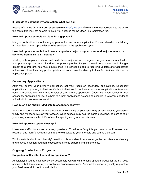

#### **If I decide to postpone my application, what do I do?**

Please inform the OAA **as soon as possible** at [hpa@rice.edu.](mailto:hpa@rice.edu) If we are informed too late into the cycle, the committee may not be able to issue you a refund for the Open File registration fee.

#### **How do I update schools on plans for a gap year?**

Many schools will ask about your gap year in their secondary application. You can also discuss it during an interview or in an update letter to be sent later in the application cycle.

#### **How do I update schools that I have changed my major, dropped a second major or minor, or switched from a BS to BA degree?**

Ideally you have planned ahead and made these major, minor, or degree changes before you submitted your primary application so this does not pose a problem for you. If need be, you can send changes directly to a program. You must double check if a school is open to receiving updates after application submission. If so, they may prefer updates are communicated directly to their Admissions Office or via application portal.

#### <span id="page-3-0"></span>**Secondary Applications**

After you submit your primary application, set your focus on secondary applications. Secondary applications vary among institutions. Certain institutions do not have a secondary application while others become available after confirmed receipt of your primary application. Check with each school for their secondary application policy. It is best to submit applications as soon as possible, it is recommended to submit within two weeks of receipt.

#### **How much time should I dedicate to secondary essays?**

You should spend a considerable amount of time working on your secondary essays. Look to your peers, family and friends to review your essays. While schools may ask the same questions, be sure to tailor your essays to each school. Proofread for spelling and grammar mistakes.

#### **How do I approach optional essays?**

Make every effort to answer all essay questions. To address "why this particular school," review your research and identify key features that are well-suited to your interests and you as a person.

Think carefully about the "diversity" question. It is important to acknowledge the importance of diversity and that you have learned from exposure to diverse cultures and experiences.

#### <span id="page-3-1"></span>**Ongoing Contact with Programs**

#### **Do grades matter after I submit my application?**

Absolutely! If you do not interview by December, you will want to send updated grades for the Fall 2022 semester that demonstrate your continued academic success. Additionally, schools typically request for your final transcript prior to matriculation.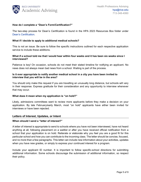

#### **How do I complete a "Dean's Form/Certification?"**

The two-step process for Dean's Certification is found in the HPA 2023 Resources Box folder under [Dean's Certification.](https://rice.app.box.com/folder/145679244974)

#### **What if I decide to apply to additional medical schools?**

This is not an issue. Be sure to follow the specific instructions outlined for each respective application service to include these additions.

#### **What if a school told me that I would hear within four weeks and it has been six weeks since I interviewed?**

Patience is key! On occasion, schools do not meet their stated timeline for notifying an applicant. No news does not always mean bad news from a school. Waiting is part of the process.

#### **Is it ever appropriate to notify another medical school in a city you have been invited to interview that you will be in the area?**

You should only make this request if you are travelling an unusually long distance, but schools will vary in their response. Express gratitude for their consideration and any opportunity to interview whenever that may occur.

#### **What does it mean when my application is "on hold?"**

Likely, admissions committees want to review more applicants before they make a decision on your application. By late February/early March, most "on hold" applicants have either been invited for interviews or have been rejected.

#### <span id="page-4-0"></span>**Letters of Interest, Updates, or Intent**

#### **When should I send a "letter of interest?"**

A letter of interest is appropriate to send to schools where you have not been interviewed, have not heard anything at all, following placement on a waitlist or after you have received official notification from a school that your application is on hold. Reiterate or elaborate why you feel you are a good fit for this particular school and how you can contribute to the incoming class. The letter should be concise, focused, and no more than a few paragraphs. This letter can include new information about your activities, updates when you have new grades, or simply to express your continued interest for a program.

Include your applicant ID number. It is important to follow specific-school directions for submitting additional information. Some schools discourage the submission of additional information, so respect their policy.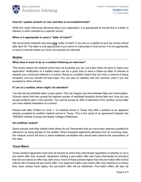

#### **How do I update schools on new activities or accomplishments?**

While this rarely influences decisions about your application, it is appropriate to include this in a letter of interest or when solicited by a specific school.

#### **When is it appropriate to send a "letter of intent?"**

We recommend students only send **one** "letter of intent" if you are on a waitlist of your top choice school after April 30. The letter is only appropriate if you intend to matriculate to that school. It is not appropriate to send to schools where you have not received an interview.

#### <span id="page-5-0"></span>**Waitlist**

#### **What does it mean to be on a waitlist following an interview?**

This simply means the medical school has not accepted you yet, but it also does not want to reject your application. Notification of a waitlist status can be a good time to send a follow-up letter of interest to express your continued interest in a school. Being on a waitlist means that you have a chance of being accepted, and you should not lose hope. You can stay on waitlists well into summer, even if you are accepted to other schools.

#### **If I am on a waitlist, when might I be admitted?**

You will only be admitted when a spot opens. This can happen any time between May and matriculation. Schools report that they accept the highest number of waitlisted students during May and June but can accept students later in the summer. You cannot accept an offer of admission from another school after you have started orientation at a school.

Please note after 5:00pm on June 1, no medical school in Texas may offer a position to an applicant already accepted by another medical school in Texas. This is the result of an agreement between the TMDSAS medical schools and Baylor College of Medicine.

#### **Are waitlists ranked?**

Some schools rank their waitlist while others do not. Remember that you have been deemed qualified for admission by being placed on the waitlist. When accepted applicants withdraw from an incoming class, the medical school will look to admit waitlisted candidates who would best balance the composition of the class.

#### <span id="page-5-1"></span>**Texas Match**

Texas resident applicants must rank all schools at which they interviewed regardless of whether or not a pre-match offer was received. Applicants holding a pre-match offer who have interviewed at school(s) that did not extend an offer may rank one or more of those schools higher than the pre-match offer school without risk of losing the pre-match offer. If an applicant holds a pre-match offer and matches to a school they have ranked more highly, the pre-match offer will be withdrawn. Pre-match offers will also be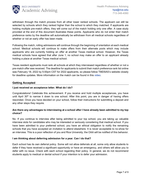

withdrawn through the match process from all other lower ranked schools. The applicant can still be selected by schools which they ranked higher than the school to which they matched. If applicants are holding multiple pre-match offers, they will come out of the match holding only one offer. A case study provided at the end of this document illustrates these points. Applicants who do not enter their match preference ranks by the deadline will automatically be withdrawn from all medical schools regardless of whether or not an early offer has been made.

Following the match, rolling admissions will continue through the beginning of orientation at each medical school. Medical schools will continue to make offers from their alternate pools which may include applicants who are currently holding an offer at another Texas medical school. However, the Texas medical schools have agreed that after June 1, no school may make an offer to an applicant already holding a place at another Texas medical school.

Texas resident applicants must rank all schools at which they interviewed regardless of whether or not a pre-match offer was received. The deadline for applicants to submit their match preference rank list online was February 18, 2022 by 5:00pm CST for 2022 applicants, so please follow TMDSAS's website closely for deadline updates. More information on the match can be found in this [video.](https://www.youtube.com/watch?v=KROzZc-IWMA)

#### <span id="page-6-0"></span>**Getting Accepted**

#### **I just received an acceptance letter. What do I do?**

Congratulations! Celebrate this achievement. If you receive and hold multiple acceptances, you have until April 30<sup>th</sup> to narrow it down to one school. After this point, you are in danger of having offers rescinded. Once you have decided on your school, follow their instructions for submitting a deposit and any other steps they require.

#### **Are there any advantages to interviewing at a school after I have already been admitted to my top choice?**

No. If you continue to interview after being admitted to your top school, you are taking up valuable interview slots for candidates who may be interested or seriously considering that medical school. If you have been admitted to your preferred school, you have an ethical obligation to notify the remaining schools that you have accepted an invitation to attend elsewhere. It is never acceptable to no-show for an interview. This is a poor reflection of you and Rice University; the OAA will be notified of this behavior.

#### **I am thinking about deferring admission for a year. Can I do that?**

Each school has its own deferral policy. Some will not allow deferrals at all, some only allow students to defer if they have received a significant opportunity or have an emergency, and others will allow you to defer with no issue. Check with each school regarding their policy. In general, we do not recommend students apply to medical or dental school if your intention is to defer your admission.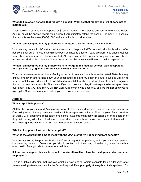

#### **What do I do about schools that require a deposit? Will I get that money back if I choose not to matriculate?**

Most medical programs have deposits of \$100 or greater. The deposits are usually refundable before April 30 or will be applied toward your tuition if you ultimately attend the school. For many DO schools, the deposits are between \$500-\$1500 and are typically not refundable.

#### **What if I am accepted but my preference is to attend a school where I am waitlisted?**

You can stay on a schools' waitlist until classes start. Keep in mind Texas medical schools will not offer positions after June 1 if you have already been admitted to another Texas program. You should deposit to a school where you have been accepted. At some point in late spring or early summer, you should move forward with plans to attend the accepted school because you will need to make preparations.

#### **What if I am accepted but my preference is to not go to the medical school I was accepted at this cycle and try again in a future cycle? What is blacklisting?**

This is an extremely unwise choice. Getting accepted to any medical school in the United States is a very difficult endeavor, and turning down your acceptance(s) just to try again in a future cycle is unlikely to turn out well for you. Many schools will **blacklist** candidates who turn down their offer and try again in the next cycle or a future cycle. This means if you turn down an offer, do **not** expect to be accepted there ever again. The OAA and HPAC will **not** work with anyone who does this, and we will **not** allow you to sign up for Open File in a future cycle if you turn down an acceptance.

#### <span id="page-7-0"></span>**April 30**

#### **Why is April 30 important?**

AMCAS has Application and Acceptance Protocols that outline deadlines, policies and responsibilities. One policy states that applicants can hold multiple acceptances until April 30 of the year of matriculation. By April 30, all applicants must select one school. Students must notify all schools of their decision or they risk having all offers of admission rescinded. Once schools know how many students will be matriculating, they may begin using their waitlist to fill any open spots.

#### <span id="page-7-1"></span>**What if it appears I will not be accepted?**

#### **When is the appropriate time to meet with the OAA staff if I'm not hearing from schools?**

You are advised to keep in touch with the OAA throughout the process, and if you have not received interviews by the end of December, you should contact us in the spring. Likewise, if you are on waitlists or on hold in May, you should speak to an advisor.

#### **If I am not accepted this cycle, should I make alternative plans for next year and/or consider reapplying?**

This is a difficult decision that involves weighing how long to remain available for an admission offer versus making alternative plans for the fall and beyond. **Reapplying right away is not always best**. You